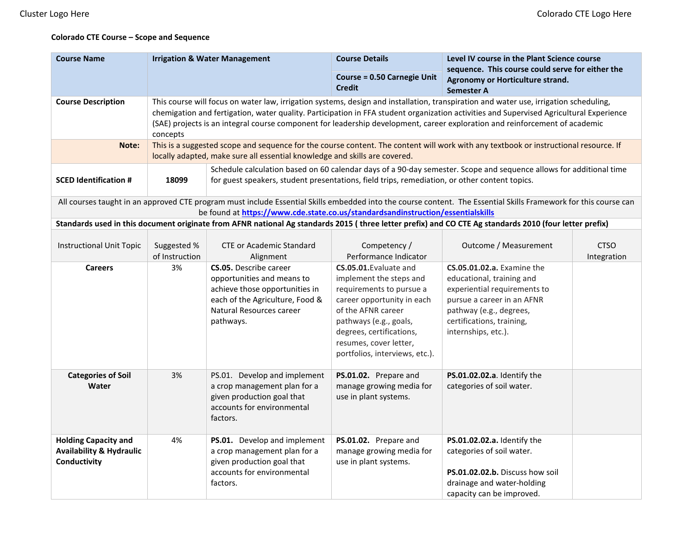## **Colorado CTE Course – Scope and Sequence**

| <b>Course Name</b>                                                                                                                                                                                                                                  | <b>Irrigation &amp; Water Management</b>                                                                                                                                                                                                                                                                                                                                                                                    |                                                                                                                                                                                                                     | <b>Course Details</b>                                                                                                                                                                                                                               | Level IV course in the Plant Science course<br>sequence. This course could serve for either the<br>Agronomy or Horticulture strand.<br><b>Semester A</b>                                                    |                            |
|-----------------------------------------------------------------------------------------------------------------------------------------------------------------------------------------------------------------------------------------------------|-----------------------------------------------------------------------------------------------------------------------------------------------------------------------------------------------------------------------------------------------------------------------------------------------------------------------------------------------------------------------------------------------------------------------------|---------------------------------------------------------------------------------------------------------------------------------------------------------------------------------------------------------------------|-----------------------------------------------------------------------------------------------------------------------------------------------------------------------------------------------------------------------------------------------------|-------------------------------------------------------------------------------------------------------------------------------------------------------------------------------------------------------------|----------------------------|
|                                                                                                                                                                                                                                                     |                                                                                                                                                                                                                                                                                                                                                                                                                             |                                                                                                                                                                                                                     | <b>Course = 0.50 Carnegie Unit</b><br><b>Credit</b>                                                                                                                                                                                                 |                                                                                                                                                                                                             |                            |
| <b>Course Description</b>                                                                                                                                                                                                                           | This course will focus on water law, irrigation systems, design and installation, transpiration and water use, irrigation scheduling,<br>chemigation and fertigation, water quality. Participation in FFA student organization activities and Supervised Agricultural Experience<br>(SAE) projects is an integral course component for leadership development, career exploration and reinforcement of academic<br>concepts |                                                                                                                                                                                                                     |                                                                                                                                                                                                                                                     |                                                                                                                                                                                                             |                            |
| Note:                                                                                                                                                                                                                                               | This is a suggested scope and sequence for the course content. The content will work with any textbook or instructional resource. If<br>locally adapted, make sure all essential knowledge and skills are covered.                                                                                                                                                                                                          |                                                                                                                                                                                                                     |                                                                                                                                                                                                                                                     |                                                                                                                                                                                                             |                            |
| <b>SCED Identification #</b>                                                                                                                                                                                                                        | 18099                                                                                                                                                                                                                                                                                                                                                                                                                       | Schedule calculation based on 60 calendar days of a 90-day semester. Scope and sequence allows for additional time<br>for guest speakers, student presentations, field trips, remediation, or other content topics. |                                                                                                                                                                                                                                                     |                                                                                                                                                                                                             |                            |
| All courses taught in an approved CTE program must include Essential Skills embedded into the course content. The Essential Skills Framework for this course can<br>be found at https://www.cde.state.co.us/standardsandinstruction/essentialskills |                                                                                                                                                                                                                                                                                                                                                                                                                             |                                                                                                                                                                                                                     |                                                                                                                                                                                                                                                     |                                                                                                                                                                                                             |                            |
|                                                                                                                                                                                                                                                     |                                                                                                                                                                                                                                                                                                                                                                                                                             |                                                                                                                                                                                                                     |                                                                                                                                                                                                                                                     | Standards used in this document originate from AFNR national Ag standards 2015 (three letter prefix) and CO CTE Ag standards 2010 (four letter prefix)                                                      |                            |
| <b>Instructional Unit Topic</b>                                                                                                                                                                                                                     | Suggested %<br>of Instruction                                                                                                                                                                                                                                                                                                                                                                                               | <b>CTE or Academic Standard</b><br>Alignment                                                                                                                                                                        | Competency /<br>Performance Indicator                                                                                                                                                                                                               | Outcome / Measurement                                                                                                                                                                                       | <b>CTSO</b><br>Integration |
| <b>Careers</b>                                                                                                                                                                                                                                      | 3%                                                                                                                                                                                                                                                                                                                                                                                                                          | <b>CS.05.</b> Describe career<br>opportunities and means to<br>achieve those opportunities in<br>each of the Agriculture, Food &<br>Natural Resources career<br>pathways.                                           | CS.05.01. Evaluate and<br>implement the steps and<br>requirements to pursue a<br>career opportunity in each<br>of the AFNR career<br>pathways (e.g., goals,<br>degrees, certifications,<br>resumes, cover letter,<br>portfolios, interviews, etc.). | <b>CS.05.01.02.a.</b> Examine the<br>educational, training and<br>experiential requirements to<br>pursue a career in an AFNR<br>pathway (e.g., degrees,<br>certifications, training,<br>internships, etc.). |                            |
| <b>Categories of Soil</b><br>Water                                                                                                                                                                                                                  | 3%                                                                                                                                                                                                                                                                                                                                                                                                                          | PS.01. Develop and implement<br>a crop management plan for a<br>given production goal that<br>accounts for environmental<br>factors.                                                                                | PS.01.02. Prepare and<br>manage growing media for<br>use in plant systems.                                                                                                                                                                          | PS.01.02.02.a. Identify the<br>categories of soil water.                                                                                                                                                    |                            |
| <b>Holding Capacity and</b><br><b>Availability &amp; Hydraulic</b><br>Conductivity                                                                                                                                                                  | 4%                                                                                                                                                                                                                                                                                                                                                                                                                          | PS.01. Develop and implement<br>a crop management plan for a<br>given production goal that<br>accounts for environmental<br>factors.                                                                                | PS.01.02. Prepare and<br>manage growing media for<br>use in plant systems.                                                                                                                                                                          | PS.01.02.02.a. Identify the<br>categories of soil water.<br>PS.01.02.02.b. Discuss how soil<br>drainage and water-holding<br>capacity can be improved.                                                      |                            |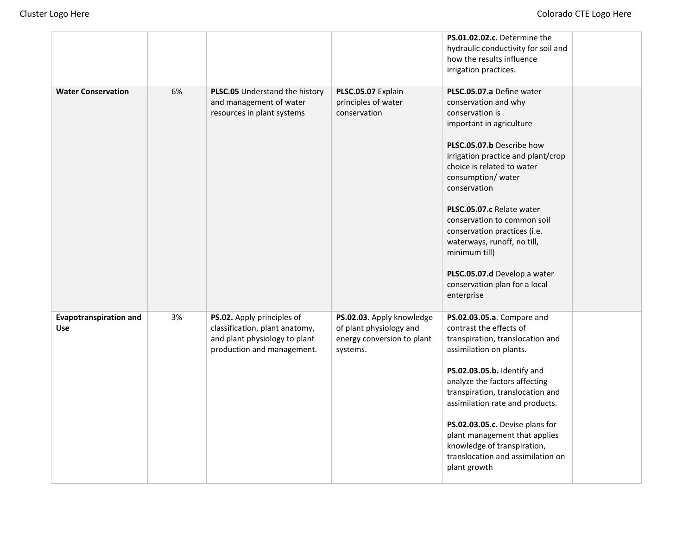|                                             |    |                                                                                                                             |                                                                                                | PS.01.02.02.c. Determine the<br>hydraulic conductivity for soil and<br>how the results influence<br>irrigation practices.                                                                                                                                                                                                                                                                                                                                          |  |
|---------------------------------------------|----|-----------------------------------------------------------------------------------------------------------------------------|------------------------------------------------------------------------------------------------|--------------------------------------------------------------------------------------------------------------------------------------------------------------------------------------------------------------------------------------------------------------------------------------------------------------------------------------------------------------------------------------------------------------------------------------------------------------------|--|
| <b>Water Conservation</b>                   | 6% | PLSC.05 Understand the history<br>and management of water<br>resources in plant systems                                     | PLSC.05.07 Explain<br>principles of water<br>conservation                                      | PLSC.05.07.a Define water<br>conservation and why<br>conservation is<br>important in agriculture<br>PLSC.05.07.b Describe how<br>irrigation practice and plant/crop<br>choice is related to water<br>consumption/ water<br>conservation<br>PLSC.05.07.c Relate water<br>conservation to common soil<br>conservation practices (i.e.<br>waterways, runoff, no till,<br>minimum till)<br>PLSC.05.07.d Develop a water<br>conservation plan for a local<br>enterprise |  |
| <b>Evapotranspiration and</b><br><b>Use</b> | 3% | PS.02. Apply principles of<br>classification, plant anatomy,<br>and plant physiology to plant<br>production and management. | PS.02.03. Apply knowledge<br>of plant physiology and<br>energy conversion to plant<br>systems. | PS.02.03.05.a. Compare and<br>contrast the effects of<br>transpiration, translocation and<br>assimilation on plants.<br>PS.02.03.05.b. Identify and<br>analyze the factors affecting<br>transpiration, translocation and<br>assimilation rate and products.<br>PS.02.03.05.c. Devise plans for<br>plant management that applies<br>knowledge of transpiration,<br>translocation and assimilation on<br>plant growth                                                |  |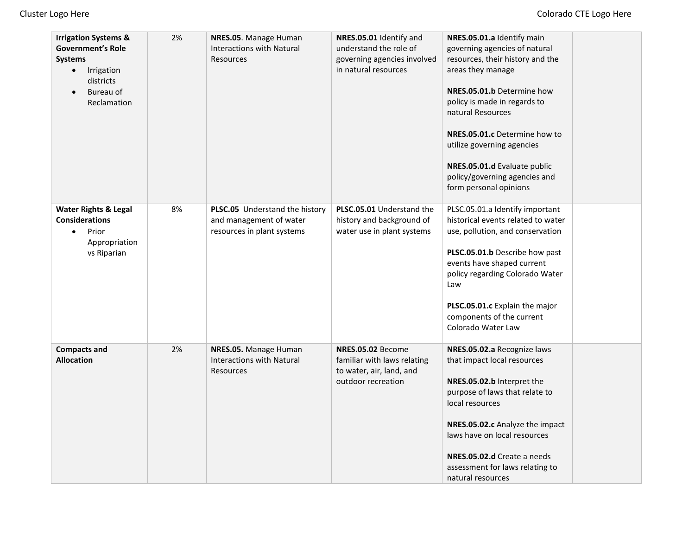| <b>Irrigation Systems &amp;</b><br><b>Government's Role</b><br><b>Systems</b><br>Irrigation<br>$\bullet$<br>districts<br>Bureau of<br>Reclamation | 2% | NRES.05. Manage Human<br><b>Interactions with Natural</b><br>Resources                  | NRES.05.01 Identify and<br>understand the role of<br>governing agencies involved<br>in natural resources | NRES.05.01.a Identify main<br>governing agencies of natural<br>resources, their history and the<br>areas they manage<br>NRES.05.01.b Determine how<br>policy is made in regards to<br>natural Resources<br>NRES.05.01.c Determine how to<br>utilize governing agencies<br>NRES.05.01.d Evaluate public<br>policy/governing agencies and<br>form personal opinions |  |
|---------------------------------------------------------------------------------------------------------------------------------------------------|----|-----------------------------------------------------------------------------------------|----------------------------------------------------------------------------------------------------------|-------------------------------------------------------------------------------------------------------------------------------------------------------------------------------------------------------------------------------------------------------------------------------------------------------------------------------------------------------------------|--|
| <b>Water Rights &amp; Legal</b><br><b>Considerations</b><br>Prior<br>$\bullet$<br>Appropriation<br>vs Riparian                                    | 8% | PLSC.05 Understand the history<br>and management of water<br>resources in plant systems | PLSC.05.01 Understand the<br>history and background of<br>water use in plant systems                     | PLSC.05.01.a Identify important<br>historical events related to water<br>use, pollution, and conservation<br>PLSC.05.01.b Describe how past<br>events have shaped current<br>policy regarding Colorado Water<br>Law<br>PLSC.05.01.c Explain the major<br>components of the current<br>Colorado Water Law                                                          |  |
| <b>Compacts and</b><br><b>Allocation</b>                                                                                                          | 2% | NRES.05. Manage Human<br><b>Interactions with Natural</b><br>Resources                  | NRES.05.02 Become<br>familiar with laws relating<br>to water, air, land, and<br>outdoor recreation       | NRES.05.02.a Recognize laws<br>that impact local resources<br>NRES.05.02.b Interpret the<br>purpose of laws that relate to<br>local resources<br>NRES.05.02.c Analyze the impact<br>laws have on local resources<br>NRES.05.02.d Create a needs<br>assessment for laws relating to<br>natural resources                                                           |  |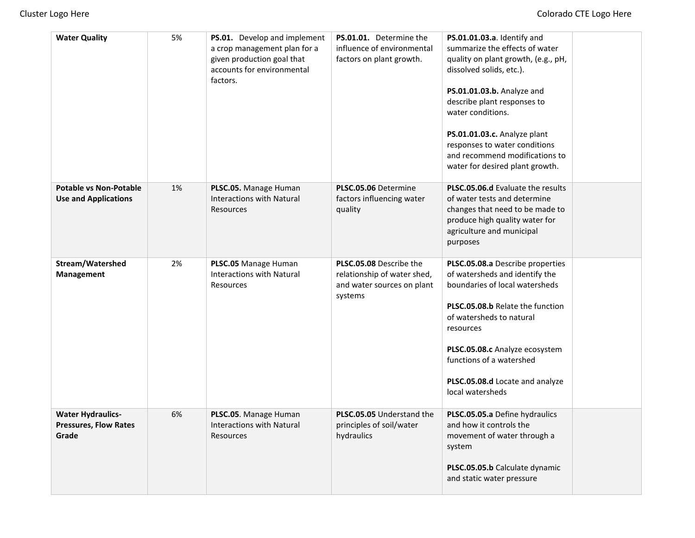| <b>Water Quality</b>                                              | 5% | PS.01. Develop and implement<br>a crop management plan for a<br>given production goal that<br>accounts for environmental<br>factors. | PS.01.01. Determine the<br>influence of environmental<br>factors on plant growth.               | PS.01.01.03.a. Identify and<br>summarize the effects of water<br>quality on plant growth, (e.g., pH,<br>dissolved solids, etc.).<br>PS.01.01.03.b. Analyze and<br>describe plant responses to<br>water conditions.<br>PS.01.01.03.c. Analyze plant<br>responses to water conditions<br>and recommend modifications to<br>water for desired plant growth. |  |
|-------------------------------------------------------------------|----|--------------------------------------------------------------------------------------------------------------------------------------|-------------------------------------------------------------------------------------------------|----------------------------------------------------------------------------------------------------------------------------------------------------------------------------------------------------------------------------------------------------------------------------------------------------------------------------------------------------------|--|
| <b>Potable vs Non-Potable</b><br><b>Use and Applications</b>      | 1% | PLSC.05. Manage Human<br><b>Interactions with Natural</b><br>Resources                                                               | PLSC.05.06 Determine<br>factors influencing water<br>quality                                    | PLSC.05.06.d Evaluate the results<br>of water tests and determine<br>changes that need to be made to<br>produce high quality water for<br>agriculture and municipal<br>purposes                                                                                                                                                                          |  |
| Stream/Watershed<br>Management                                    | 2% | PLSC.05 Manage Human<br><b>Interactions with Natural</b><br>Resources                                                                | PLSC.05.08 Describe the<br>relationship of water shed,<br>and water sources on plant<br>systems | PLSC.05.08.a Describe properties<br>of watersheds and identify the<br>boundaries of local watersheds<br>PLSC.05.08.b Relate the function<br>of watersheds to natural<br>resources<br>PLSC.05.08.c Analyze ecosystem<br>functions of a watershed<br>PLSC.05.08.d Locate and analyze<br>local watersheds                                                   |  |
| <b>Water Hydraulics-</b><br><b>Pressures, Flow Rates</b><br>Grade | 6% | PLSC.05. Manage Human<br><b>Interactions with Natural</b><br>Resources                                                               | PLSC.05.05 Understand the<br>principles of soil/water<br>hydraulics                             | PLSC.05.05.a Define hydraulics<br>and how it controls the<br>movement of water through a<br>system<br>PLSC.05.05.b Calculate dynamic<br>and static water pressure                                                                                                                                                                                        |  |